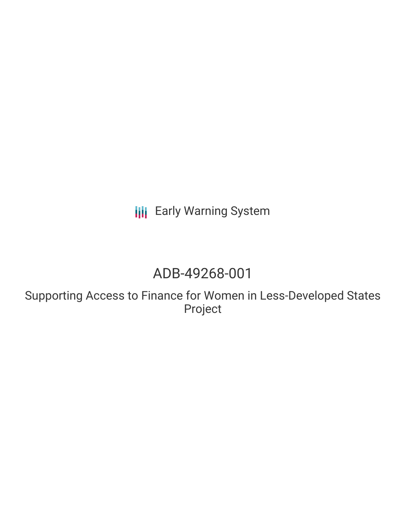**III** Early Warning System

# ADB-49268-001

Supporting Access to Finance for Women in Less-Developed States Project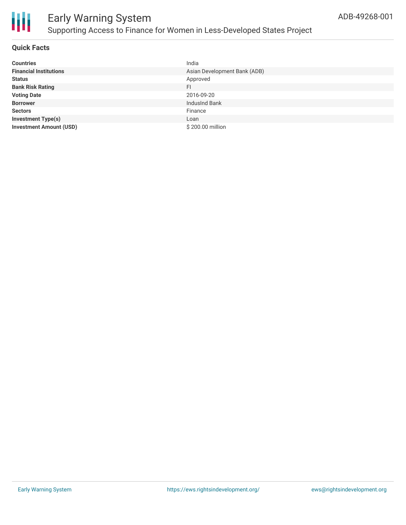

### Early Warning System Supporting Access to Finance for Women in Less-Developed States Project

#### **Quick Facts**

| <b>Countries</b>               | India                        |
|--------------------------------|------------------------------|
| <b>Financial Institutions</b>  | Asian Development Bank (ADB) |
| <b>Status</b>                  | Approved                     |
| <b>Bank Risk Rating</b>        | FI                           |
| <b>Voting Date</b>             | 2016-09-20                   |
| <b>Borrower</b>                | IndusInd Bank                |
| <b>Sectors</b>                 | Finance                      |
| <b>Investment Type(s)</b>      | Loan                         |
| <b>Investment Amount (USD)</b> | \$200.00 million             |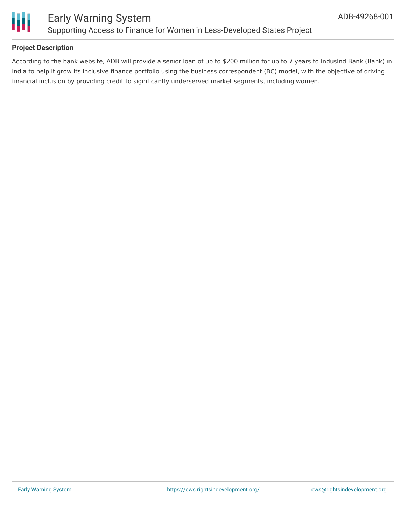

#### **Project Description**

According to the bank website, ADB will provide a senior loan of up to \$200 million for up to 7 years to IndusInd Bank (Bank) in India to help it grow its inclusive finance portfolio using the business correspondent (BC) model, with the objective of driving financial inclusion by providing credit to significantly underserved market segments, including women.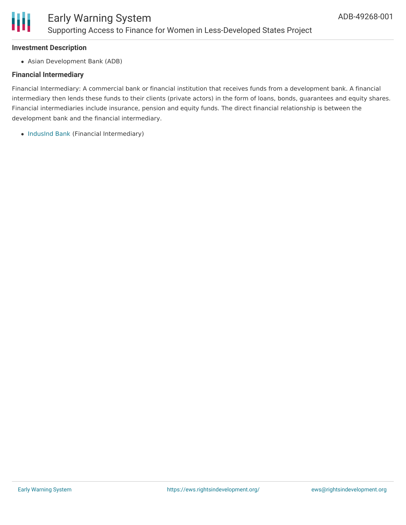

#### **Investment Description**

Asian Development Bank (ADB)

#### **Financial Intermediary**

Financial Intermediary: A commercial bank or financial institution that receives funds from a development bank. A financial intermediary then lends these funds to their clients (private actors) in the form of loans, bonds, guarantees and equity shares. Financial intermediaries include insurance, pension and equity funds. The direct financial relationship is between the development bank and the financial intermediary.

• [IndusInd](file:///actor/1924/) Bank (Financial Intermediary)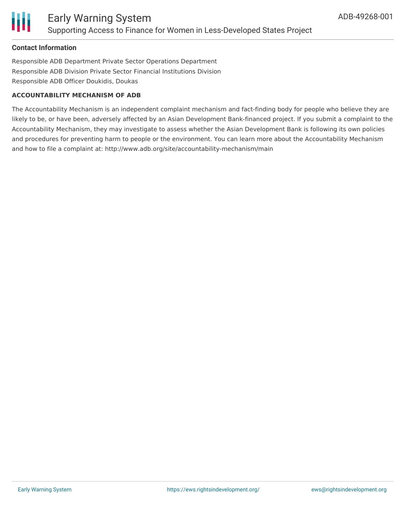

#### **Contact Information**

Responsible ADB Department Private Sector Operations Department Responsible ADB Division Private Sector Financial Institutions Division Responsible ADB Officer Doukidis, Doukas

#### **ACCOUNTABILITY MECHANISM OF ADB**

The Accountability Mechanism is an independent complaint mechanism and fact-finding body for people who believe they are likely to be, or have been, adversely affected by an Asian Development Bank-financed project. If you submit a complaint to the Accountability Mechanism, they may investigate to assess whether the Asian Development Bank is following its own policies and procedures for preventing harm to people or the environment. You can learn more about the Accountability Mechanism and how to file a complaint at: http://www.adb.org/site/accountability-mechanism/main